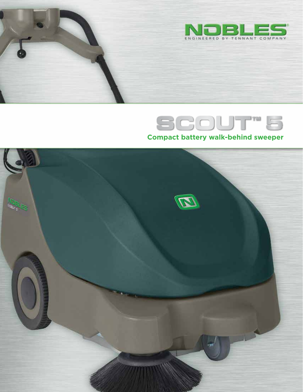

# SCOUT<sup>T</sup> **Compact battery walk-behind sweeper**

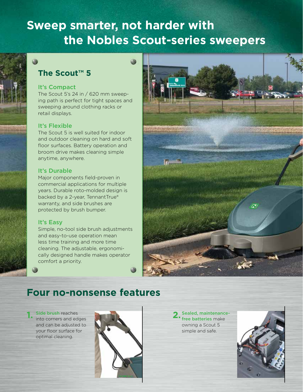# **Sweep smarter, not harder with the Nobles Scout-series sweepers**

## **The Scout™ 5**

#### It's Compact

The Scout 5's 24 in / 620 mm sweeping path is perfect for tight spaces and sweeping around clothing racks or retail displays.

#### It's Flexible

The Scout 5 is well suited for indoor and outdoor cleaning on hard and soft floor surfaces. Battery operation and broom drive makes cleaning simple anytime, anywhere.

#### It's Durable

Major components field-proven in commercial applications for multiple years. Durable roto-molded design is backed by a 2-year, TennantTrue® warranty, and side brushes are protected by brush bumper.

#### It's Easy

Simple, no-tool side brush adjustments and easy-to-use operation mean less time training and more time cleaning. The adjustable, ergonomically designed handle makes operator comfort a priority.



## **Four no-nonsense features**

**Side brush reaches** into corners and edges and can be adjusted to your floor surface for optimal cleaning.



**2.** Sealed, maintenancefree batteries make owning a Scout 5 simple and safe.

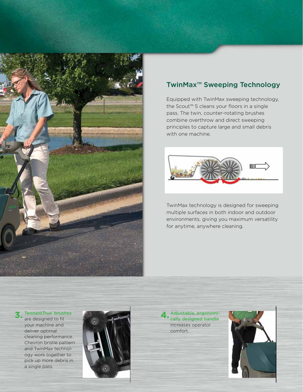

### TwinMax™ Sweeping Technology

Equipped with TwinMax sweeping technology, the Scout™ 5 cleans your floors in a single pass. The twin, counter-rotating brushes combine overthrow and direct sweeping principles to capture large and small debris with one machine.



TwinMax technology is designed for sweeping multiple surfaces in both indoor and outdoor environments, giving you maximum versatility for anytime, anywhere cleaning.

## **3.** Tennant*True*' brushes<br>are designed to fit

are designed to fit your machine and deliver optimal cleaning performance. Chevron bristle pattern and TwinMax technology work together to pick up more debris in a single pass.



**4.** Adjustable, ergonomi-cally designed handle increases operator comfort.